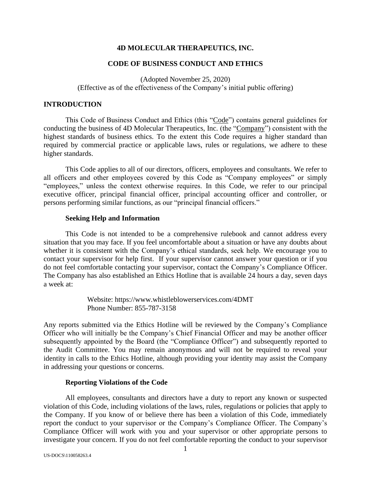## **4D MOLECULAR THERAPEUTICS, INC.**

# **CODE OF BUSINESS CONDUCT AND ETHICS**

(Adopted November 25, 2020) (Effective as of the effectiveness of the Company's initial public offering)

### **INTRODUCTION**

This Code of Business Conduct and Ethics (this "Code") contains general guidelines for conducting the business of 4D Molecular Therapeutics, Inc. (the "Company") consistent with the highest standards of business ethics. To the extent this Code requires a higher standard than required by commercial practice or applicable laws, rules or regulations, we adhere to these higher standards.

This Code applies to all of our directors, officers, employees and consultants. We refer to all officers and other employees covered by this Code as "Company employees" or simply "employees," unless the context otherwise requires. In this Code, we refer to our principal executive officer, principal financial officer, principal accounting officer and controller, or persons performing similar functions, as our "principal financial officers."

### **Seeking Help and Information**

This Code is not intended to be a comprehensive rulebook and cannot address every situation that you may face. If you feel uncomfortable about a situation or have any doubts about whether it is consistent with the Company's ethical standards, seek help. We encourage you to contact your supervisor for help first. If your supervisor cannot answer your question or if you do not feel comfortable contacting your supervisor, contact the Company's Compliance Officer. The Company has also established an Ethics Hotline that is available 24 hours a day, seven days a week at:

> Website: https://www.whistleblowerservices.com/4DMT Phone Number: 855-787-3158

Any reports submitted via the Ethics Hotline will be reviewed by the Company's Compliance Officer who will initially be the Company's Chief Financial Officer and may be another officer subsequently appointed by the Board (the "Compliance Officer") and subsequently reported to the Audit Committee. You may remain anonymous and will not be required to reveal your identity in calls to the Ethics Hotline, although providing your identity may assist the Company in addressing your questions or concerns.

## **Reporting Violations of the Code**

All employees, consultants and directors have a duty to report any known or suspected violation of this Code, including violations of the laws, rules, regulations or policies that apply to the Company. If you know of or believe there has been a violation of this Code, immediately report the conduct to your supervisor or the Company's Compliance Officer. The Company's Compliance Officer will work with you and your supervisor or other appropriate persons to investigate your concern. If you do not feel comfortable reporting the conduct to your supervisor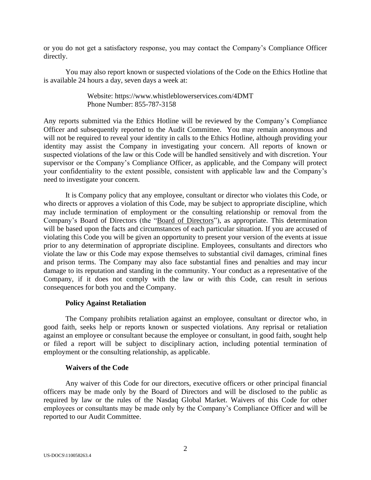or you do not get a satisfactory response, you may contact the Company's Compliance Officer directly.

You may also report known or suspected violations of the Code on the Ethics Hotline that is available 24 hours a day, seven days a week at:

> Website: https://www.whistleblowerservices.com/4DMT Phone Number: 855-787-3158

Any reports submitted via the Ethics Hotline will be reviewed by the Company's Compliance Officer and subsequently reported to the Audit Committee. You may remain anonymous and will not be required to reveal your identity in calls to the Ethics Hotline, although providing your identity may assist the Company in investigating your concern. All reports of known or suspected violations of the law or this Code will be handled sensitively and with discretion. Your supervisor or the Company's Compliance Officer, as applicable, and the Company will protect your confidentiality to the extent possible, consistent with applicable law and the Company's need to investigate your concern.

It is Company policy that any employee, consultant or director who violates this Code, or who directs or approves a violation of this Code, may be subject to appropriate discipline, which may include termination of employment or the consulting relationship or removal from the Company's Board of Directors (the "Board of Directors"), as appropriate. This determination will be based upon the facts and circumstances of each particular situation. If you are accused of violating this Code you will be given an opportunity to present your version of the events at issue prior to any determination of appropriate discipline. Employees, consultants and directors who violate the law or this Code may expose themselves to substantial civil damages, criminal fines and prison terms. The Company may also face substantial fines and penalties and may incur damage to its reputation and standing in the community. Your conduct as a representative of the Company, if it does not comply with the law or with this Code, can result in serious consequences for both you and the Company.

## **Policy Against Retaliation**

The Company prohibits retaliation against an employee, consultant or director who, in good faith, seeks help or reports known or suspected violations. Any reprisal or retaliation against an employee or consultant because the employee or consultant, in good faith, sought help or filed a report will be subject to disciplinary action, including potential termination of employment or the consulting relationship, as applicable.

#### **Waivers of the Code**

Any waiver of this Code for our directors, executive officers or other principal financial officers may be made only by the Board of Directors and will be disclosed to the public as required by law or the rules of the Nasdaq Global Market. Waivers of this Code for other employees or consultants may be made only by the Company's Compliance Officer and will be reported to our Audit Committee.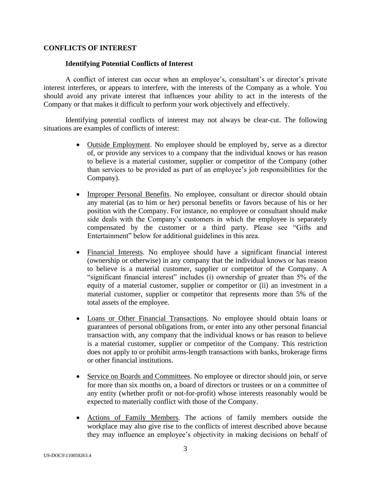# **CONFLICTS OF INTEREST**

## **Identifying Potential Conflicts of Interest**

A conflict of interest can occur when an employee's, consultant's or director's private interest interferes, or appears to interfere, with the interests of the Company as a whole. You should avoid any private interest that influences your ability to act in the interests of the Company or that makes it difficult to perform your work objectively and effectively.

Identifying potential conflicts of interest may not always be clear-cut. The following situations are examples of conflicts of interest:

- Outside Employment. No employee should be employed by, serve as a director of, or provide any services to a company that the individual knows or has reason to believe is a material customer, supplier or competitor of the Company (other than services to be provided as part of an employee's job responsibilities for the Company).
- Improper Personal Benefits. No employee, consultant or director should obtain any material (as to him or her) personal benefits or favors because of his or her position with the Company. For instance, no employee or consultant should make side deals with the Company's customers in which the employee is separately compensated by the customer or a third party. Please see "Gifts and Entertainment" below for additional guidelines in this area.
- Financial Interests. No employee should have a significant financial interest (ownership or otherwise) in any company that the individual knows or has reason to believe is a material customer, supplier or competitor of the Company. A "significant financial interest" includes (i) ownership of greater than 5% of the equity of a material customer, supplier or competitor or (ii) an investment in a material customer, supplier or competitor that represents more than 5% of the total assets of the employee.
- Loans or Other Financial Transactions. No employee should obtain loans or guarantees of personal obligations from, or enter into any other personal financial transaction with, any company that the individual knows or has reason to believe is a material customer, supplier or competitor of the Company. This restriction does not apply to or prohibit arms-length transactions with banks, brokerage firms or other financial institutions.
- Service on Boards and Committees. No employee or director should join, or serve for more than six months on, a board of directors or trustees or on a committee of any entity (whether profit or not-for-profit) whose interests reasonably would be expected to materially conflict with those of the Company.
- Actions of Family Members. The actions of family members outside the workplace may also give rise to the conflicts of interest described above because they may influence an employee's objectivity in making decisions on behalf of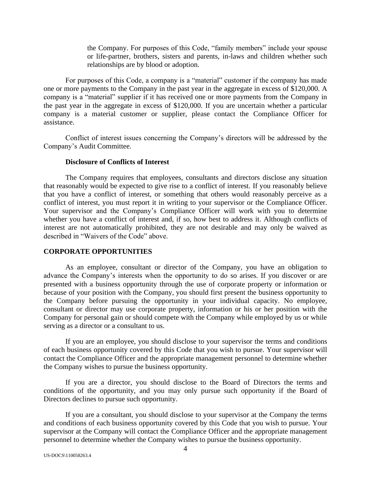the Company. For purposes of this Code, "family members" include your spouse or life-partner, brothers, sisters and parents, in-laws and children whether such relationships are by blood or adoption.

For purposes of this Code, a company is a "material" customer if the company has made one or more payments to the Company in the past year in the aggregate in excess of \$120,000. A company is a "material" supplier if it has received one or more payments from the Company in the past year in the aggregate in excess of \$120,000. If you are uncertain whether a particular company is a material customer or supplier, please contact the Compliance Officer for assistance.

Conflict of interest issues concerning the Company's directors will be addressed by the Company's Audit Committee.

#### **Disclosure of Conflicts of Interest**

The Company requires that employees, consultants and directors disclose any situation that reasonably would be expected to give rise to a conflict of interest. If you reasonably believe that you have a conflict of interest, or something that others would reasonably perceive as a conflict of interest, you must report it in writing to your supervisor or the Compliance Officer. Your supervisor and the Company's Compliance Officer will work with you to determine whether you have a conflict of interest and, if so, how best to address it. Although conflicts of interest are not automatically prohibited, they are not desirable and may only be waived as described in "Waivers of the Code" above.

## **CORPORATE OPPORTUNITIES**

As an employee, consultant or director of the Company, you have an obligation to advance the Company's interests when the opportunity to do so arises. If you discover or are presented with a business opportunity through the use of corporate property or information or because of your position with the Company, you should first present the business opportunity to the Company before pursuing the opportunity in your individual capacity. No employee, consultant or director may use corporate property, information or his or her position with the Company for personal gain or should compete with the Company while employed by us or while serving as a director or a consultant to us.

If you are an employee, you should disclose to your supervisor the terms and conditions of each business opportunity covered by this Code that you wish to pursue. Your supervisor will contact the Compliance Officer and the appropriate management personnel to determine whether the Company wishes to pursue the business opportunity.

If you are a director, you should disclose to the Board of Directors the terms and conditions of the opportunity, and you may only pursue such opportunity if the Board of Directors declines to pursue such opportunity.

If you are a consultant, you should disclose to your supervisor at the Company the terms and conditions of each business opportunity covered by this Code that you wish to pursue. Your supervisor at the Company will contact the Compliance Officer and the appropriate management personnel to determine whether the Company wishes to pursue the business opportunity.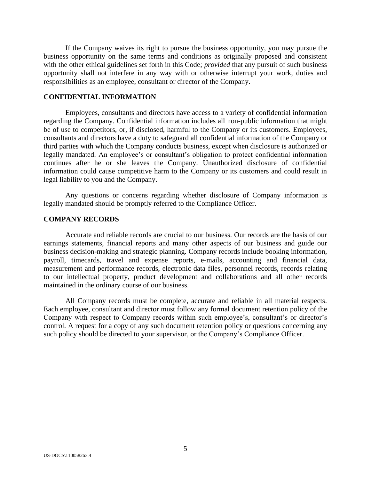If the Company waives its right to pursue the business opportunity, you may pursue the business opportunity on the same terms and conditions as originally proposed and consistent with the other ethical guidelines set forth in this Code; *provided* that any pursuit of such business opportunity shall not interfere in any way with or otherwise interrupt your work, duties and responsibilities as an employee, consultant or director of the Company.

# **CONFIDENTIAL INFORMATION**

Employees, consultants and directors have access to a variety of confidential information regarding the Company. Confidential information includes all non-public information that might be of use to competitors, or, if disclosed, harmful to the Company or its customers. Employees, consultants and directors have a duty to safeguard all confidential information of the Company or third parties with which the Company conducts business, except when disclosure is authorized or legally mandated. An employee's or consultant's obligation to protect confidential information continues after he or she leaves the Company. Unauthorized disclosure of confidential information could cause competitive harm to the Company or its customers and could result in legal liability to you and the Company.

Any questions or concerns regarding whether disclosure of Company information is legally mandated should be promptly referred to the Compliance Officer.

#### **COMPANY RECORDS**

Accurate and reliable records are crucial to our business. Our records are the basis of our earnings statements, financial reports and many other aspects of our business and guide our business decision-making and strategic planning. Company records include booking information, payroll, timecards, travel and expense reports, e-mails, accounting and financial data, measurement and performance records, electronic data files, personnel records, records relating to our intellectual property, product development and collaborations and all other records maintained in the ordinary course of our business.

All Company records must be complete, accurate and reliable in all material respects. Each employee, consultant and director must follow any formal document retention policy of the Company with respect to Company records within such employee's, consultant's or director's control. A request for a copy of any such document retention policy or questions concerning any such policy should be directed to your supervisor, or the Company's Compliance Officer.